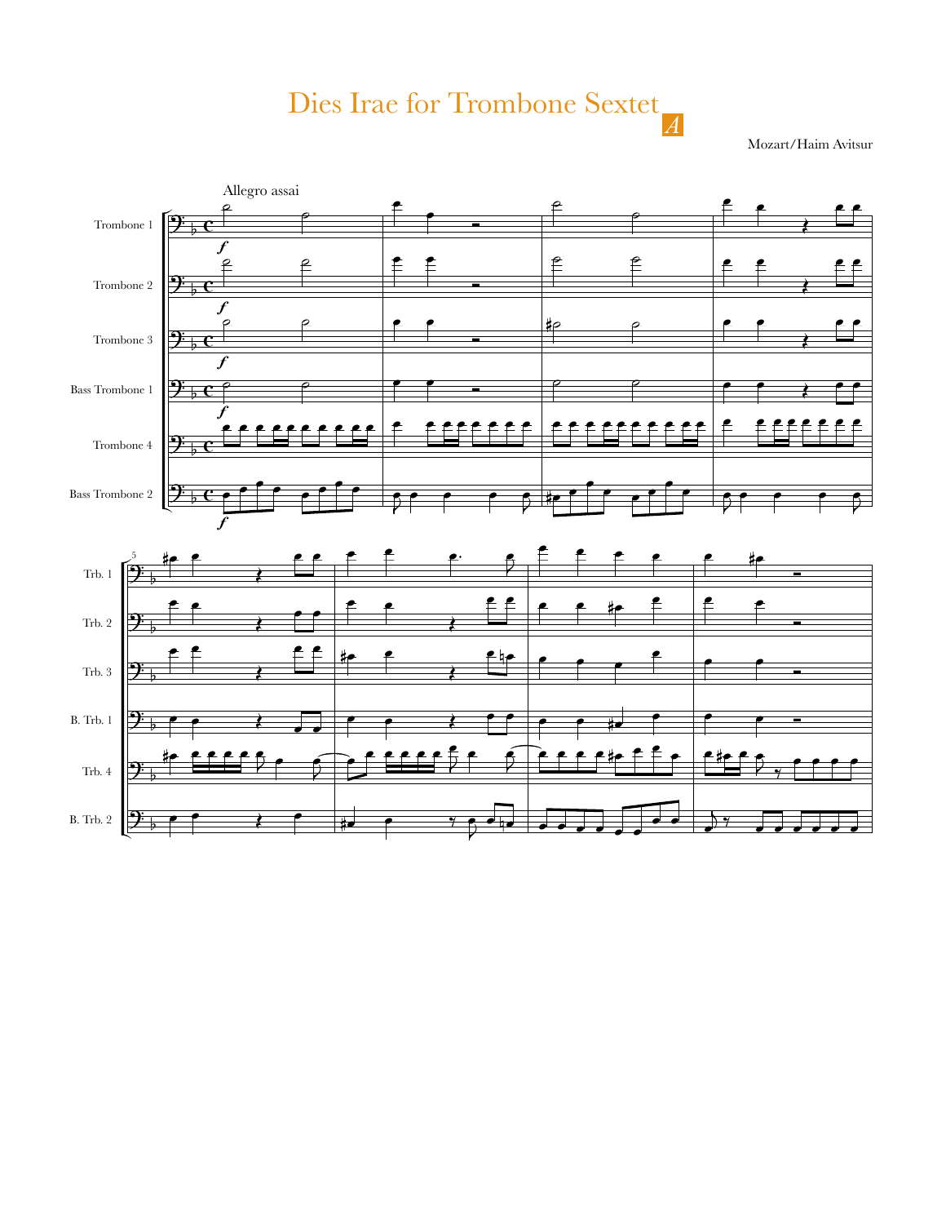# Dies Irae for Trombone Sextet $\frac{1}{A}$

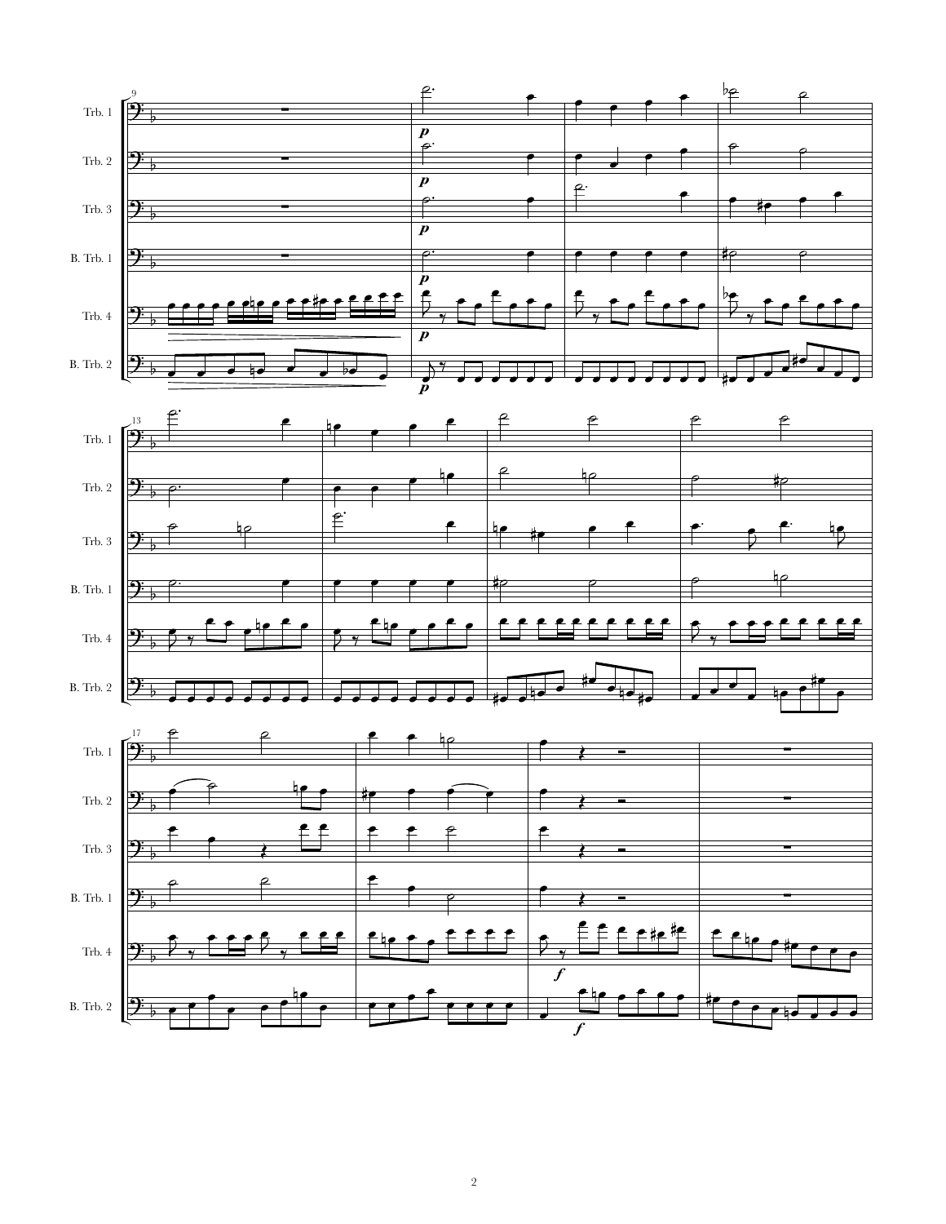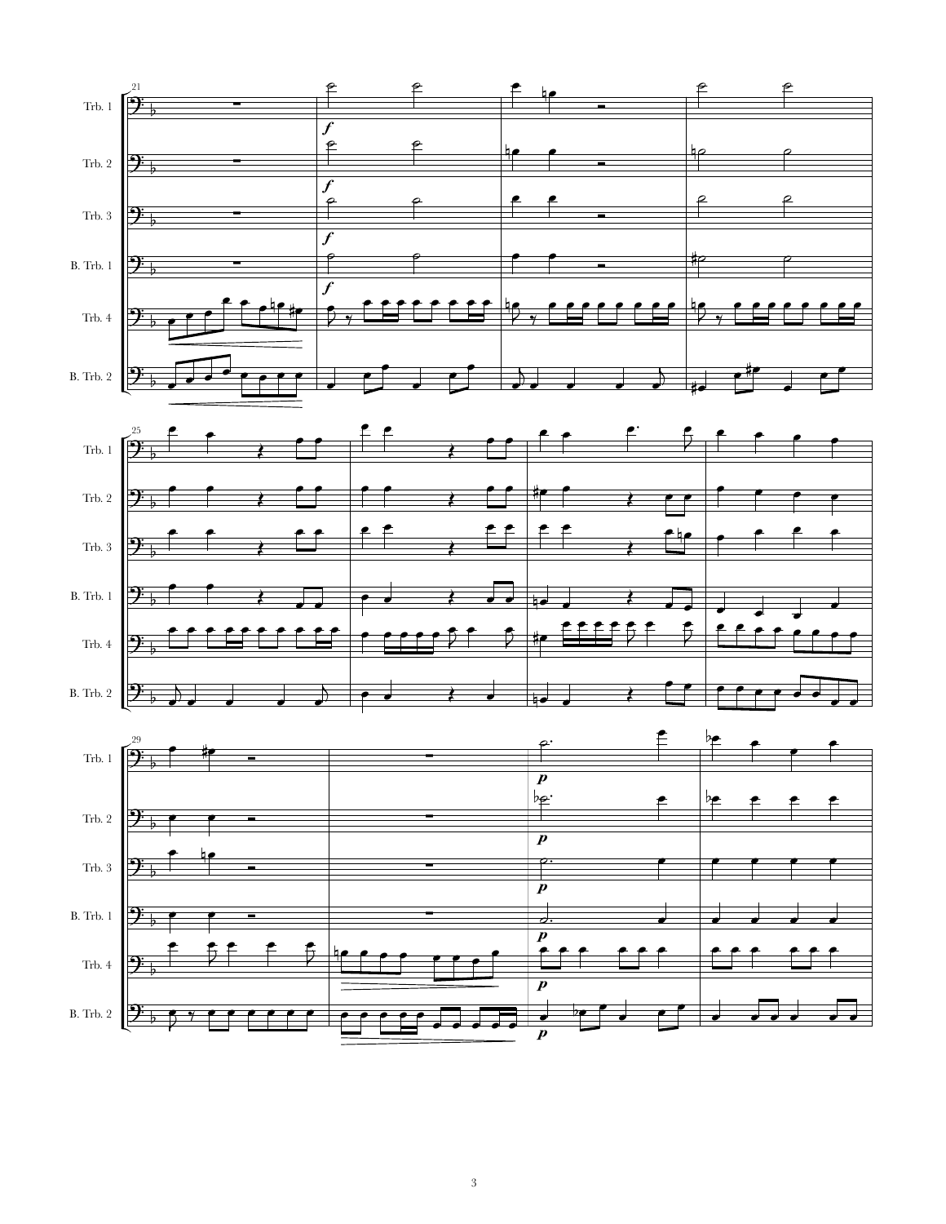



 $\sqrt{3}$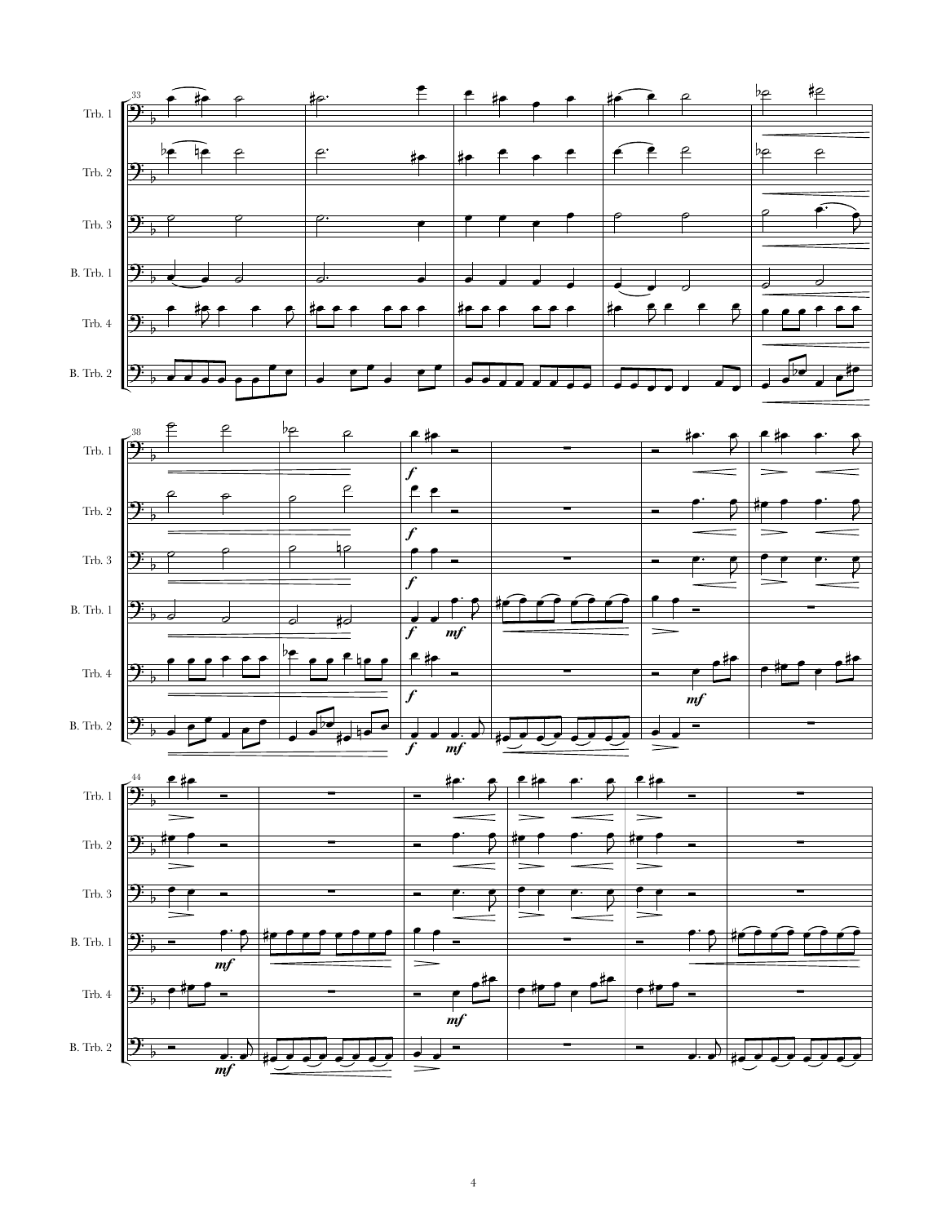

 $\overline{4}$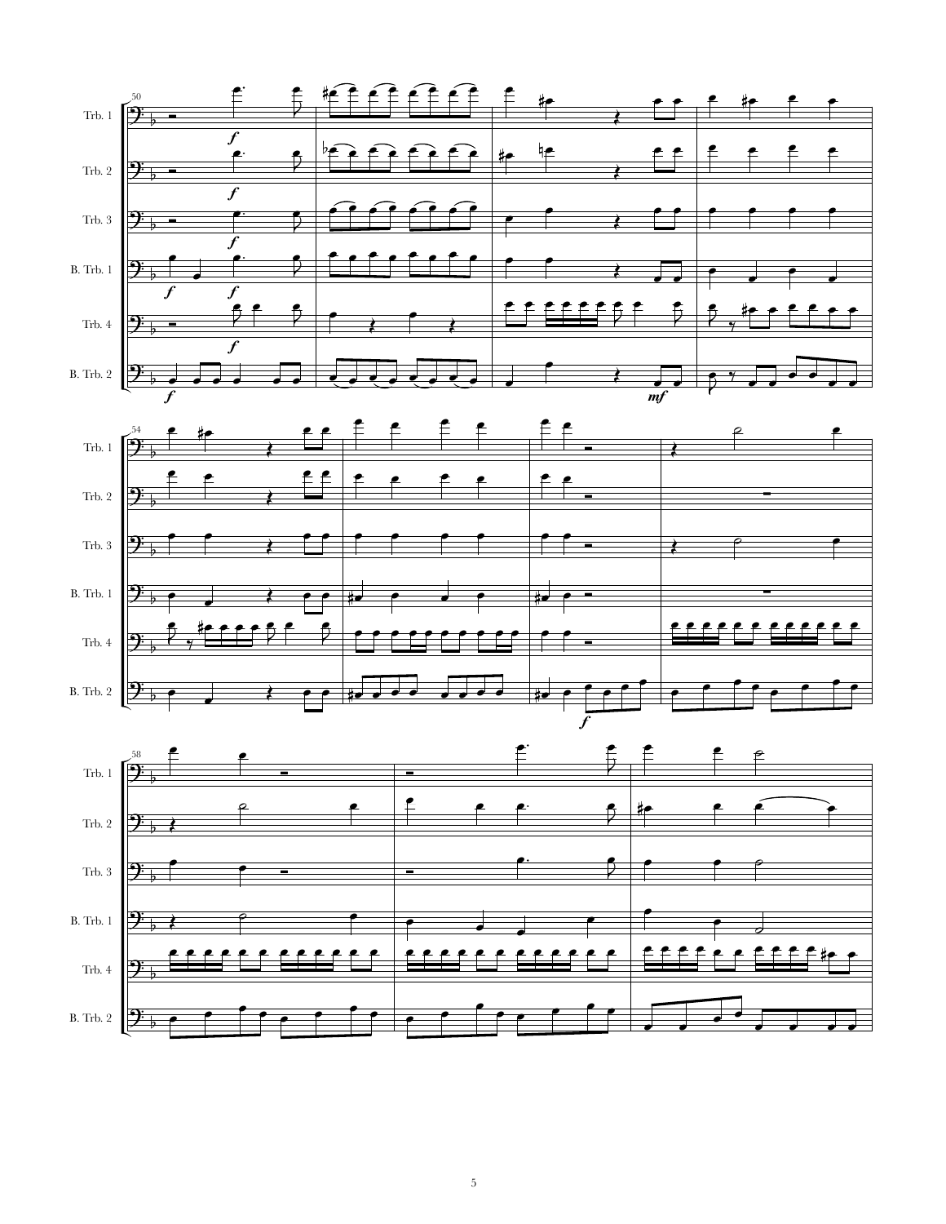

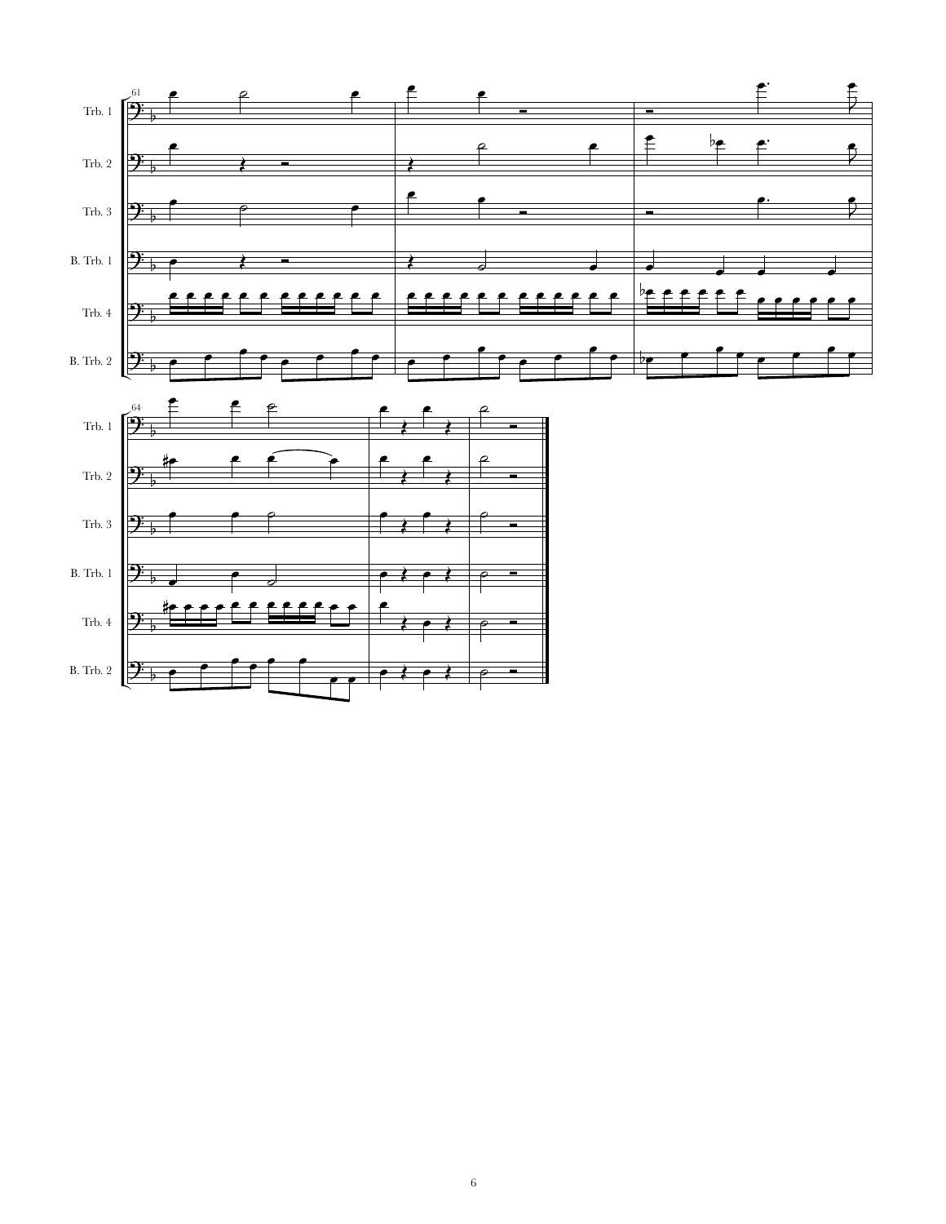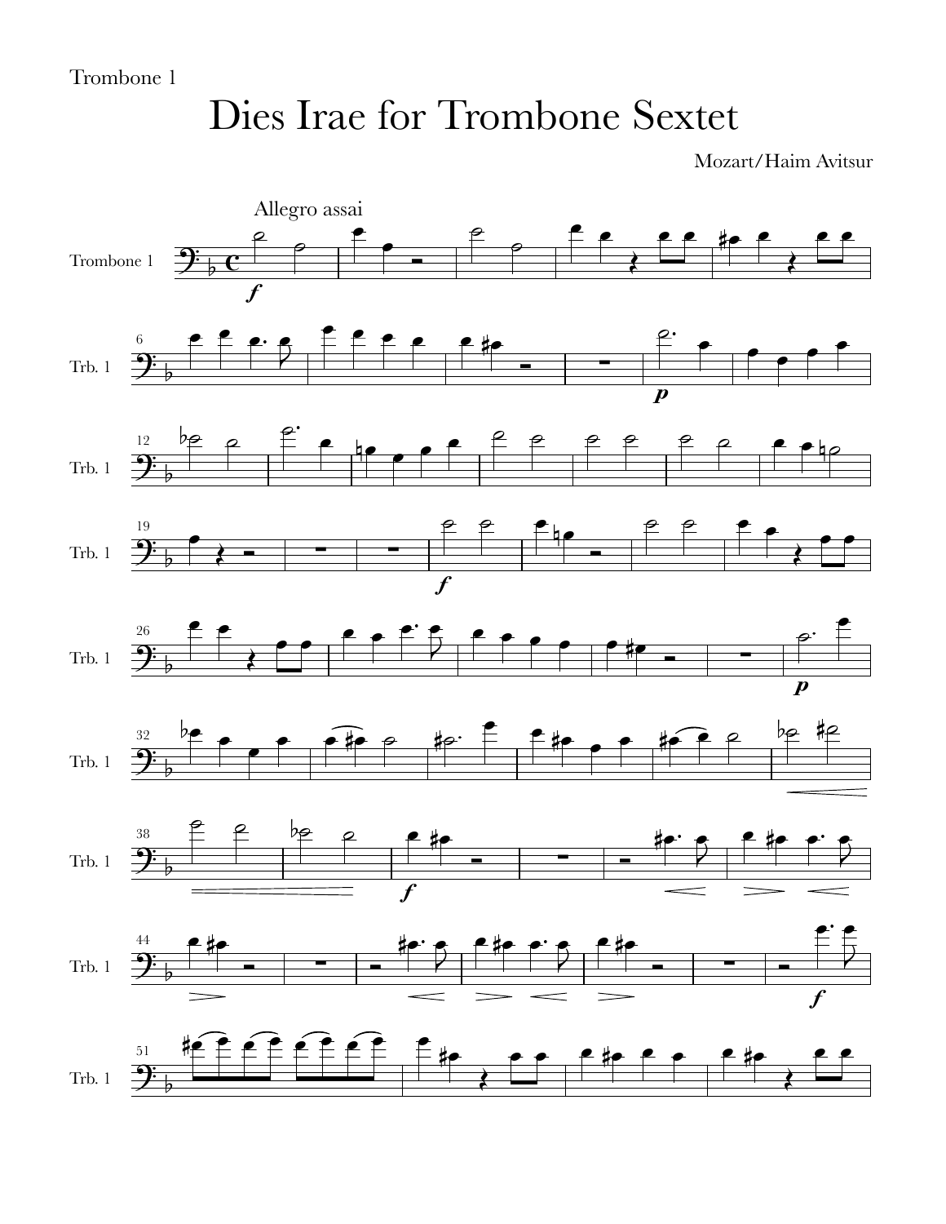### Dies Irae for Trombone Sextet

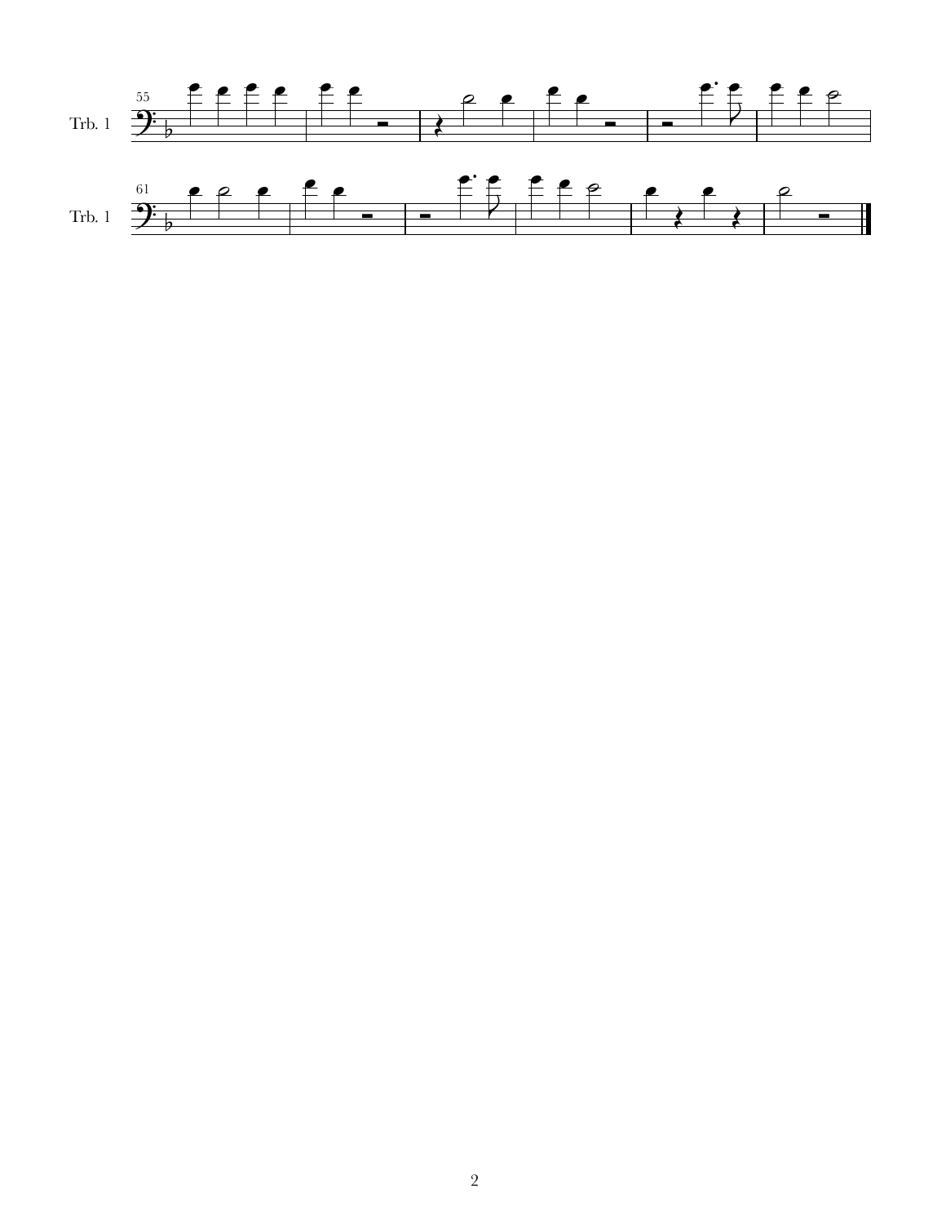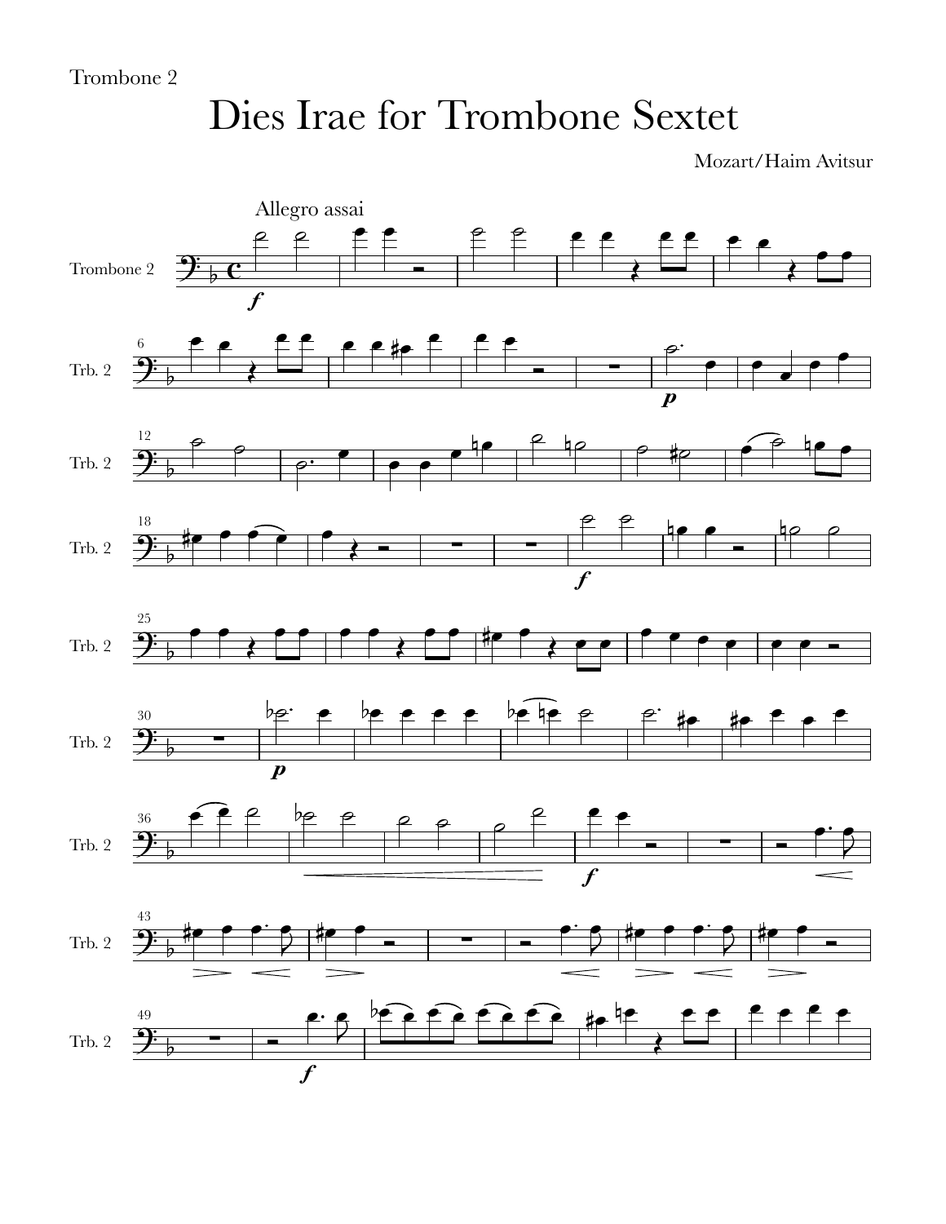### Dies Irae for Trombone Sextet

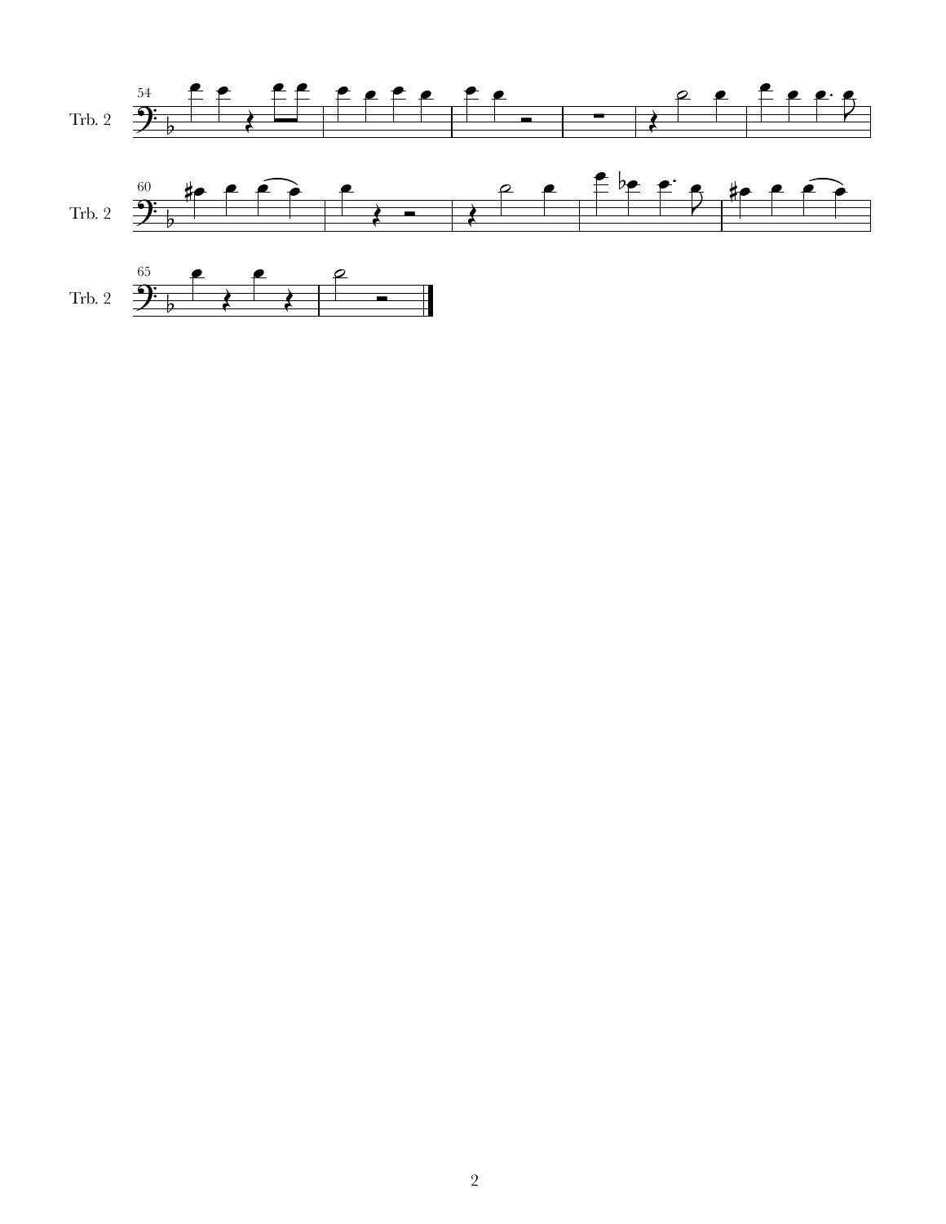



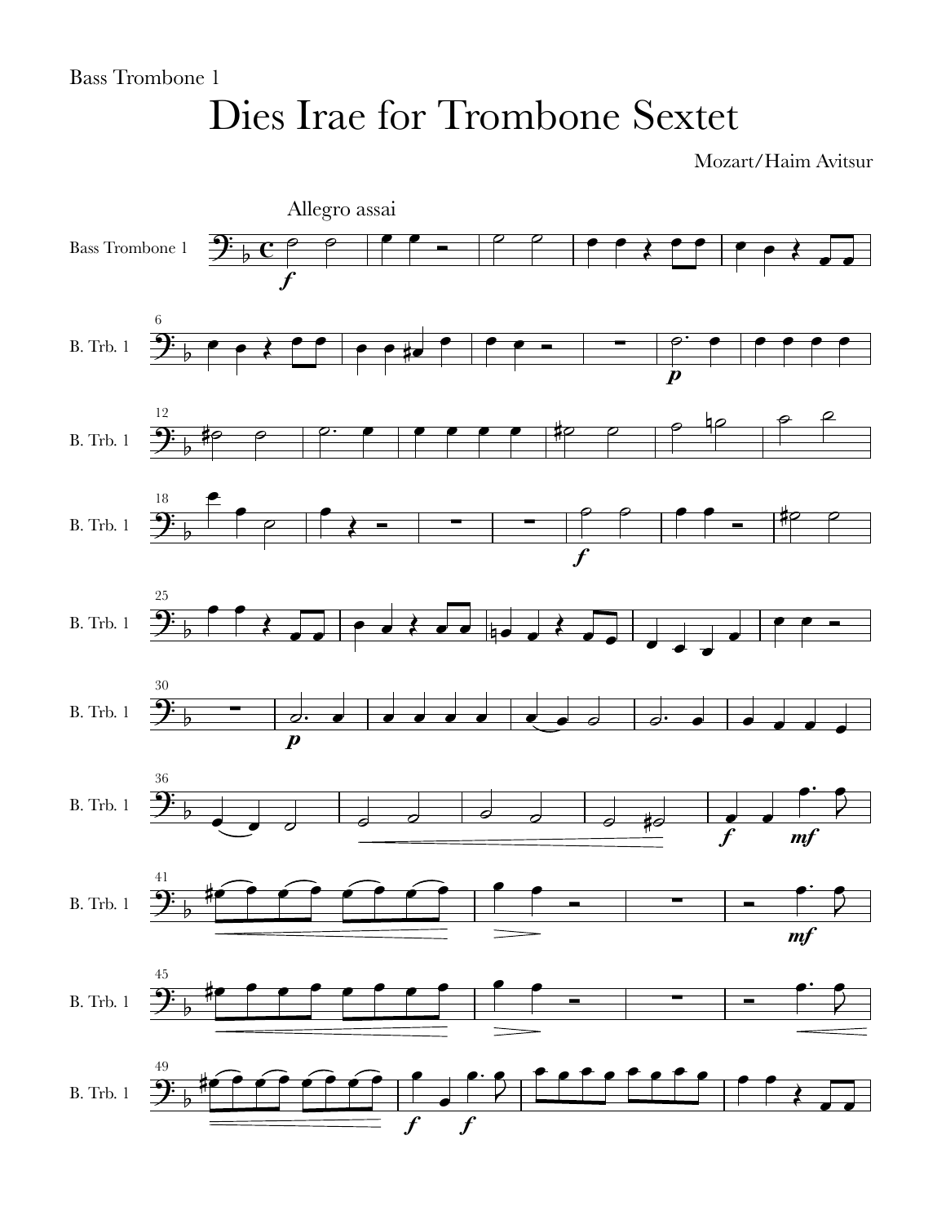#### **Bass Trombone 1**

# Dies Irae for Trombone Sextet

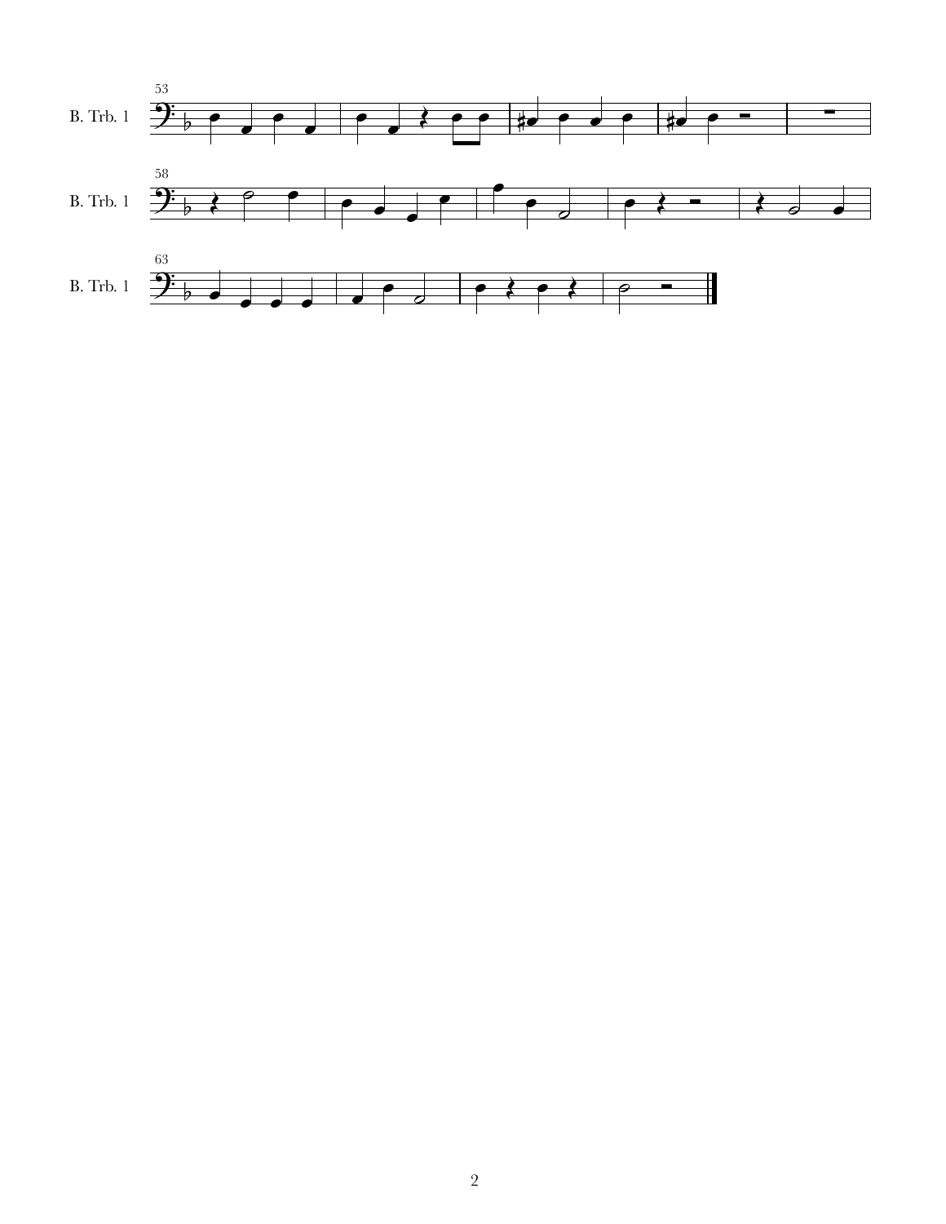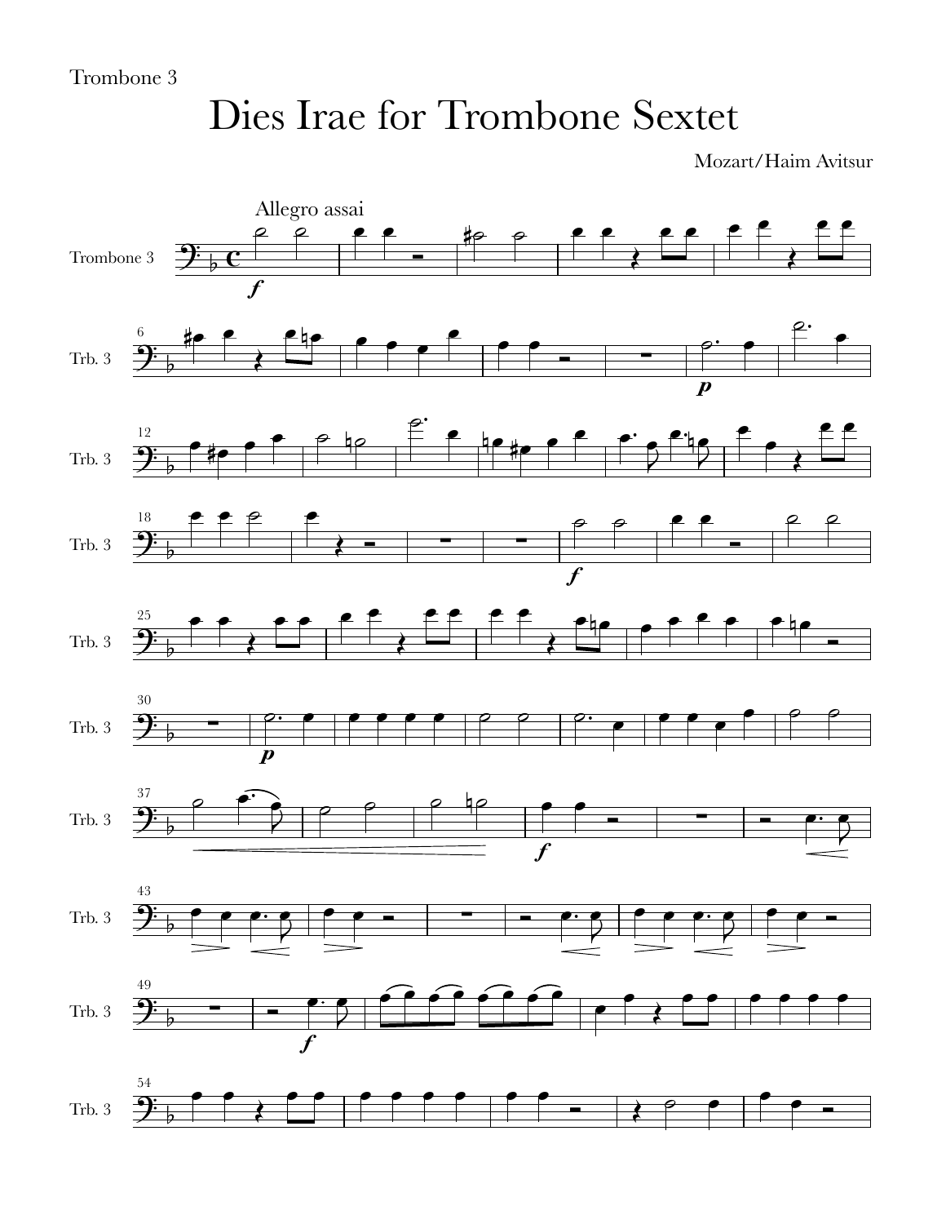# Dies Irae for Trombone Sextet

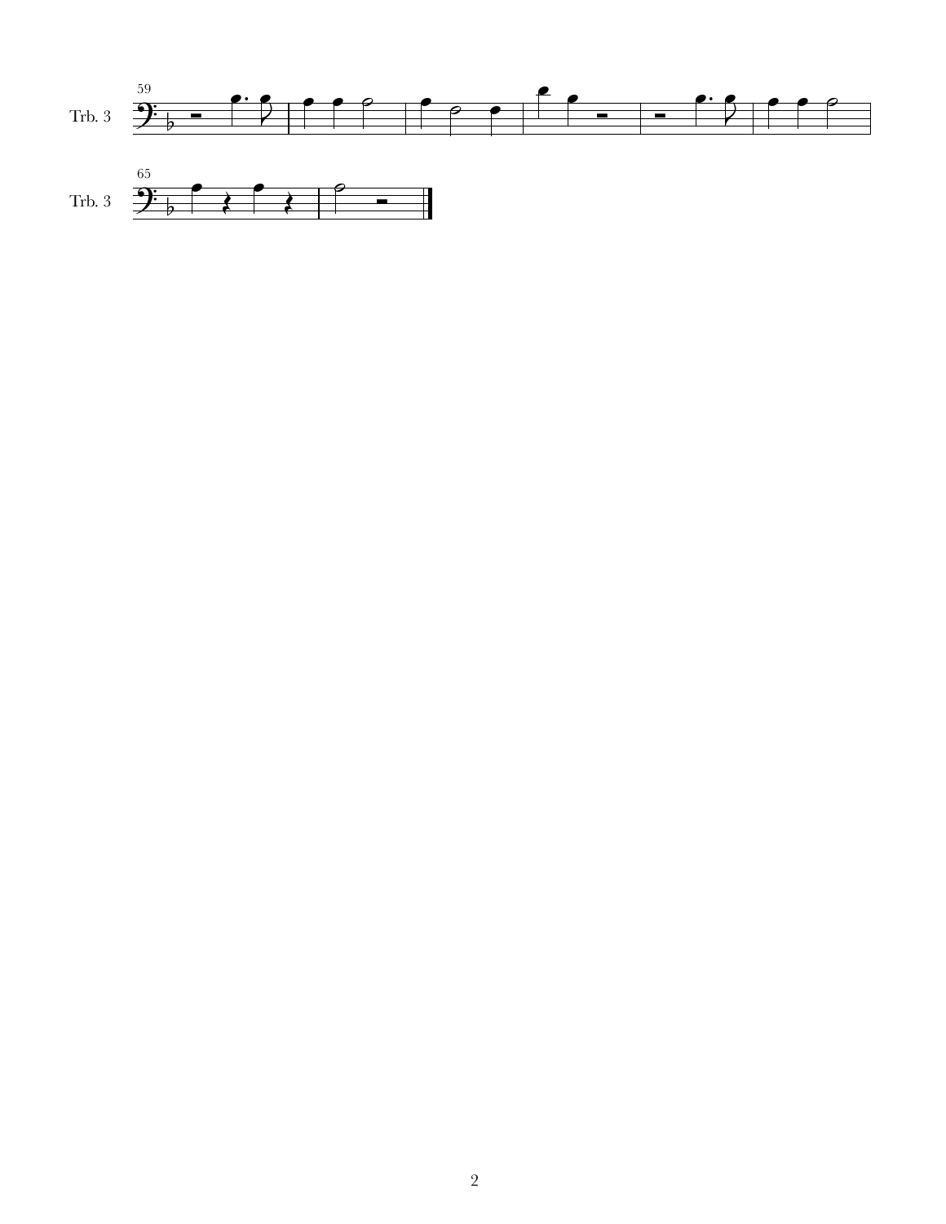

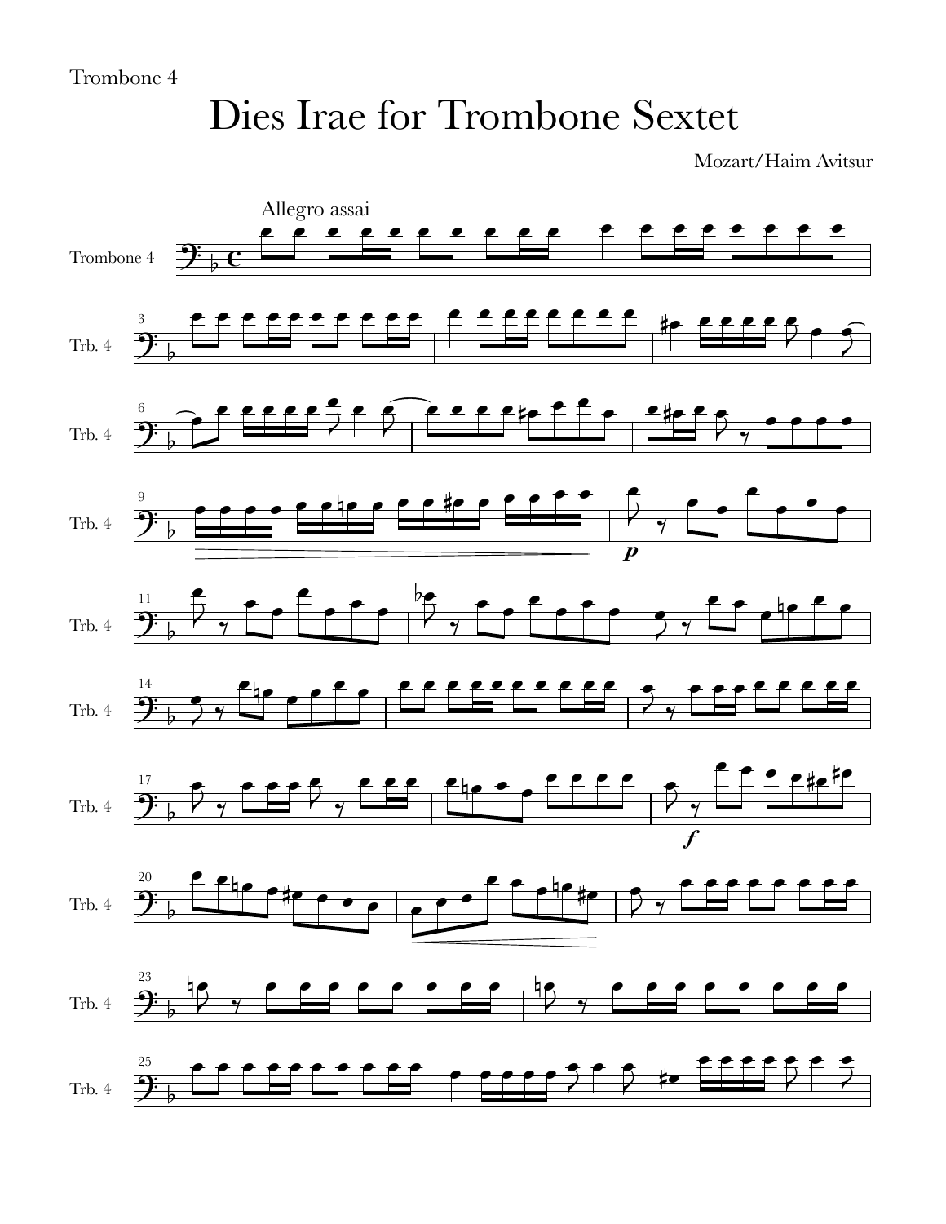### Dies Irae for Trombone Sextet

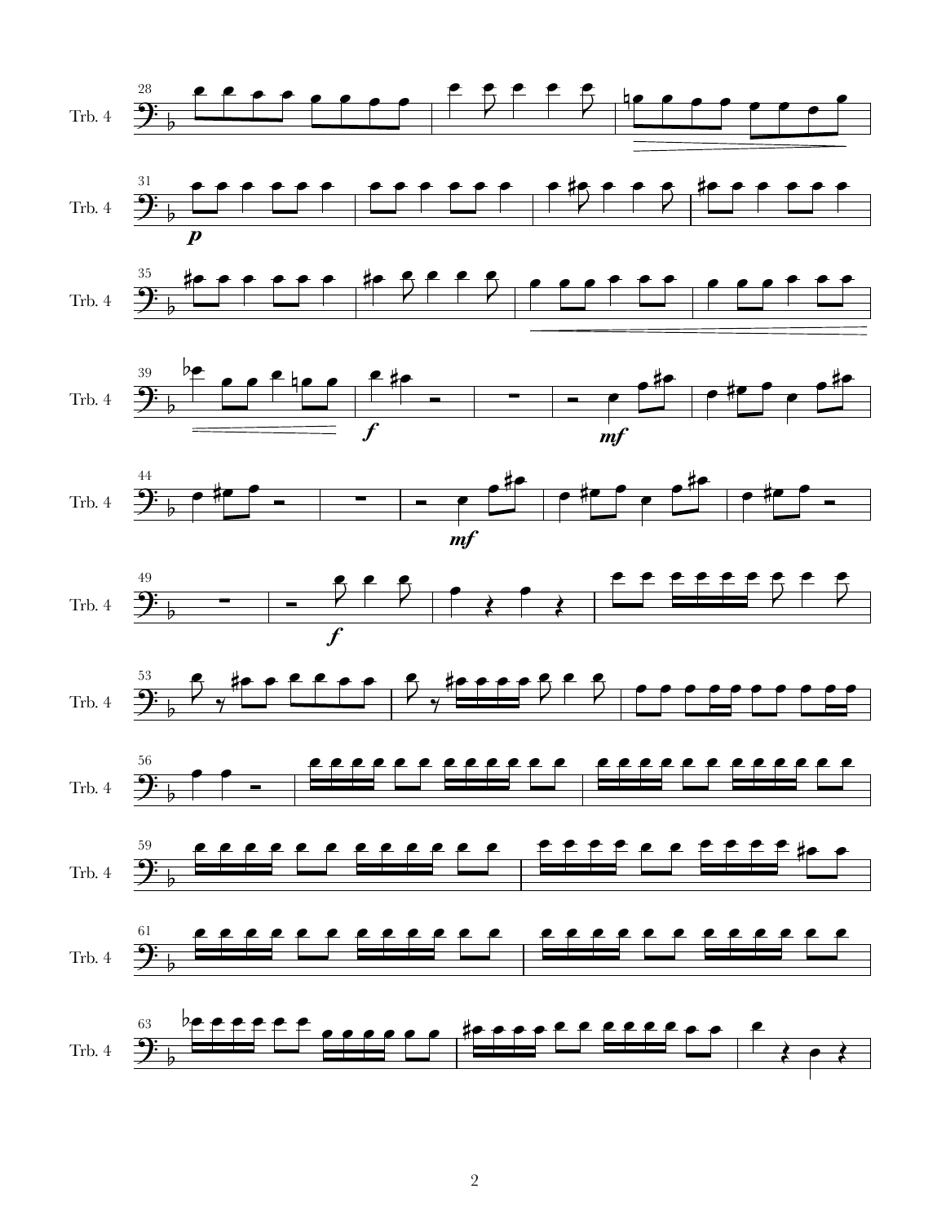



















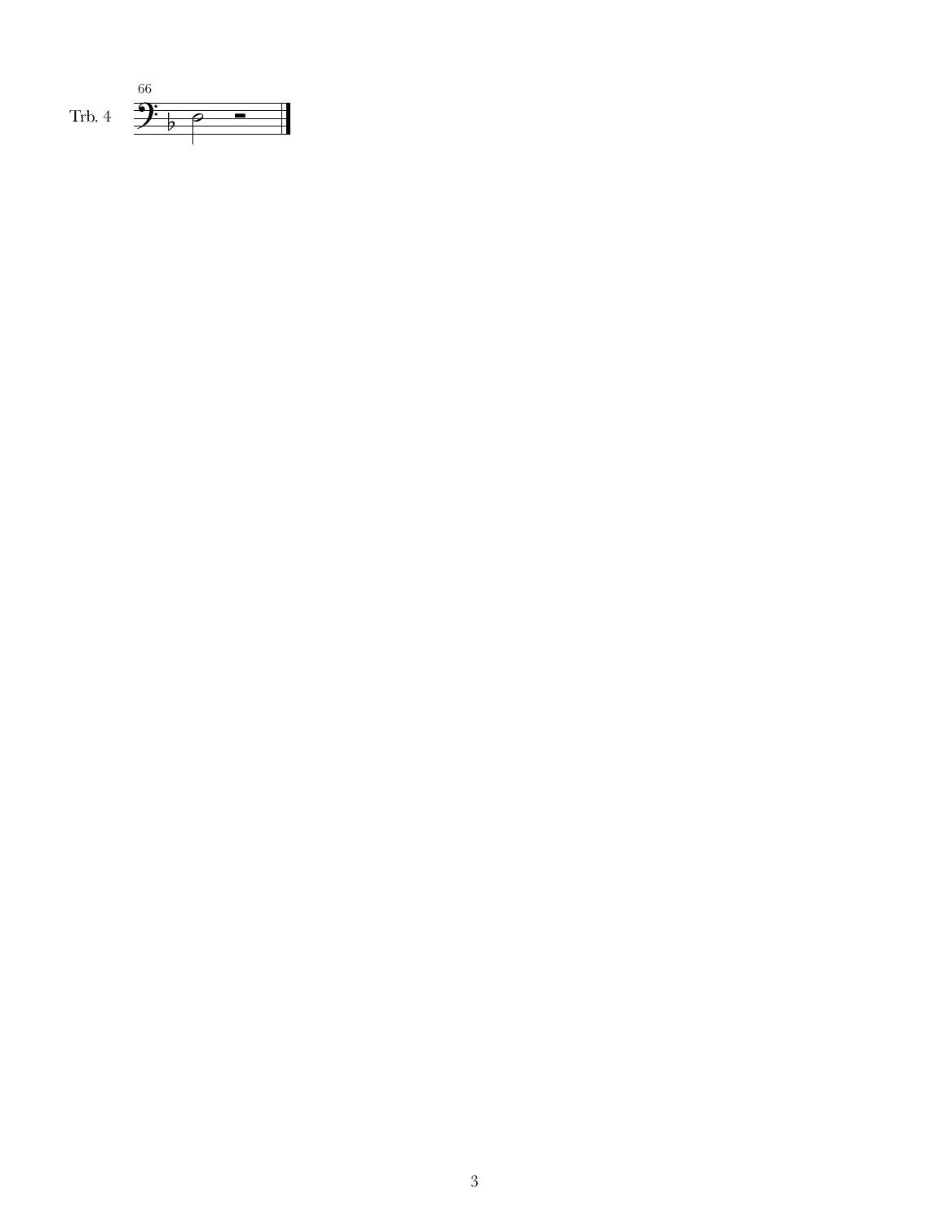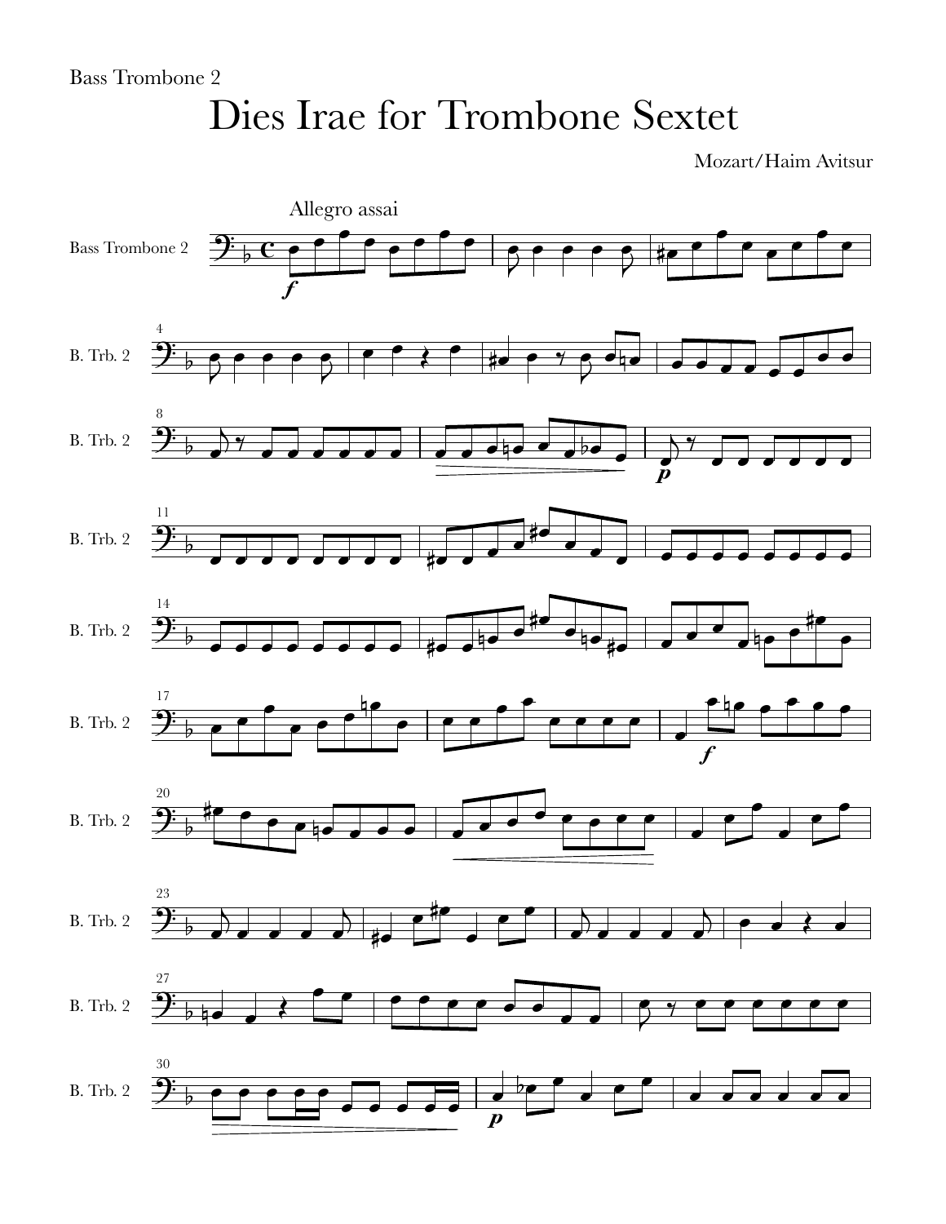#### **Bass Trombone 2**

## Dies Irae for Trombone Sextet